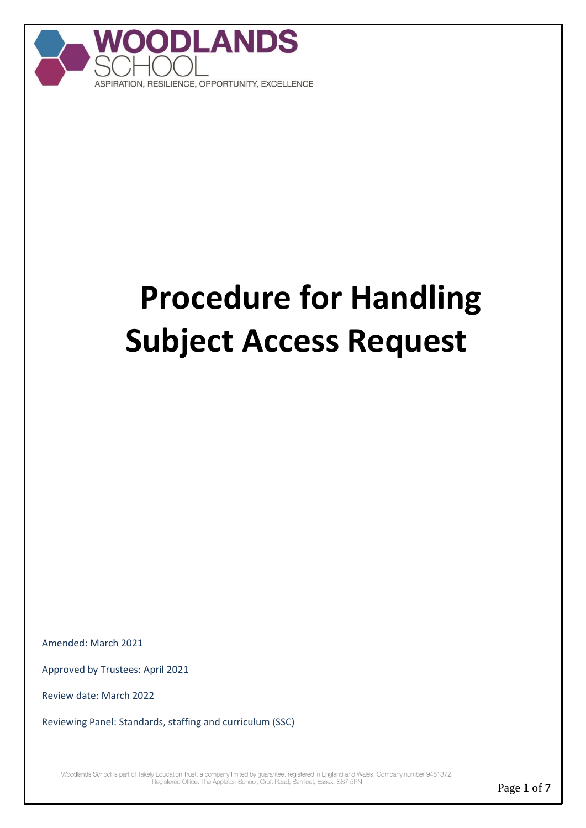

# **Procedure for Handling Subject Access Request**

Amended: March 2021

Approved by Trustees: April 2021

Review date: March 2022

Reviewing Panel: Standards, staffing and curriculum (SSC)

Woodlands School is part of Takely Education Trust, a company limited by guarantee, registered in England and Wales. Company number 9451372.<br>Registered Office: The Appleton School, Croft Road, Benfleet, Essex, SS7 5RN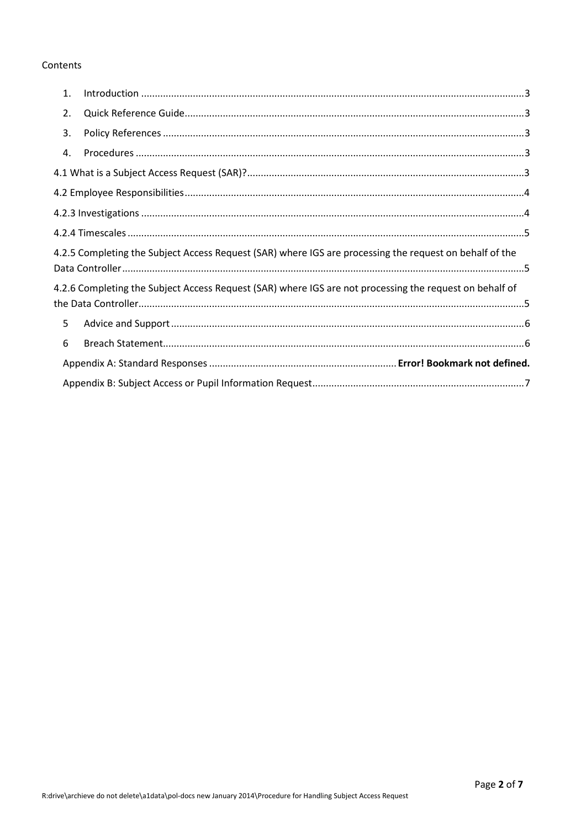# Contents

| 1. |                                                                                                         |  |
|----|---------------------------------------------------------------------------------------------------------|--|
| 2. |                                                                                                         |  |
| 3. |                                                                                                         |  |
| 4. |                                                                                                         |  |
|    |                                                                                                         |  |
|    |                                                                                                         |  |
|    |                                                                                                         |  |
|    |                                                                                                         |  |
|    | 4.2.5 Completing the Subject Access Request (SAR) where IGS are processing the request on behalf of the |  |
|    | 4.2.6 Completing the Subject Access Request (SAR) where IGS are not processing the request on behalf of |  |
| 5  |                                                                                                         |  |
| 6  |                                                                                                         |  |
|    |                                                                                                         |  |
|    |                                                                                                         |  |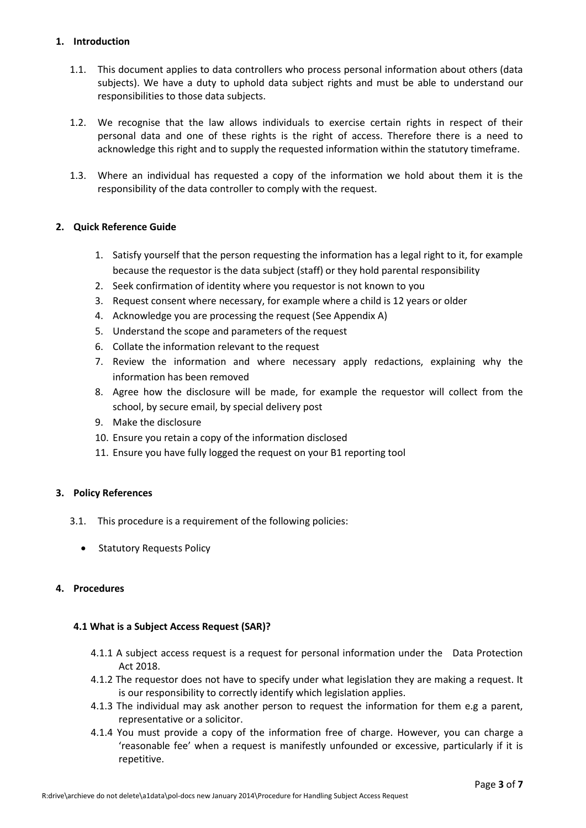#### <span id="page-2-0"></span>**1. Introduction**

- 1.1. This document applies to data controllers who process personal information about others (data subjects). We have a duty to uphold data subject rights and must be able to understand our responsibilities to those data subjects.
- 1.2. We recognise that the law allows individuals to exercise certain rights in respect of their personal data and one of these rights is the right of access. Therefore there is a need to acknowledge this right and to supply the requested information within the statutory timeframe.
- 1.3. Where an individual has requested a copy of the information we hold about them it is the responsibility of the data controller to comply with the request.

## <span id="page-2-1"></span>**2. Quick Reference Guide**

- 1. Satisfy yourself that the person requesting the information has a legal right to it, for example because the requestor is the data subject (staff) or they hold parental responsibility
- 2. Seek confirmation of identity where you requestor is not known to you
- 3. Request consent where necessary, for example where a child is 12 years or older
- 4. Acknowledge you are processing the request (See Appendix A)
- 5. Understand the scope and parameters of the request
- 6. Collate the information relevant to the request
- 7. Review the information and where necessary apply redactions, explaining why the information has been removed
- 8. Agree how the disclosure will be made, for example the requestor will collect from the school, by secure email, by special delivery post
- 9. Make the disclosure
- 10. Ensure you retain a copy of the information disclosed
- 11. Ensure you have fully logged the request on your B1 reporting tool

#### <span id="page-2-2"></span>**3. Policy References**

- 3.1. This procedure is a requirement of the following policies:
	- Statutory Requests Policy

#### <span id="page-2-4"></span><span id="page-2-3"></span>**4. Procedures**

#### **4.1 What is a Subject Access Request (SAR)?**

- 4.1.1 A subject access request is a request for personal information under the Data Protection Act 2018.
- 4.1.2 The requestor does not have to specify under what legislation they are making a request. It is our responsibility to correctly identify which legislation applies.
- 4.1.3 The individual may ask another person to request the information for them e.g a parent, representative or a solicitor.
- 4.1.4 You must provide a copy of the information free of charge. However, you can charge a 'reasonable fee' when a request is manifestly unfounded or excessive, particularly if it is repetitive.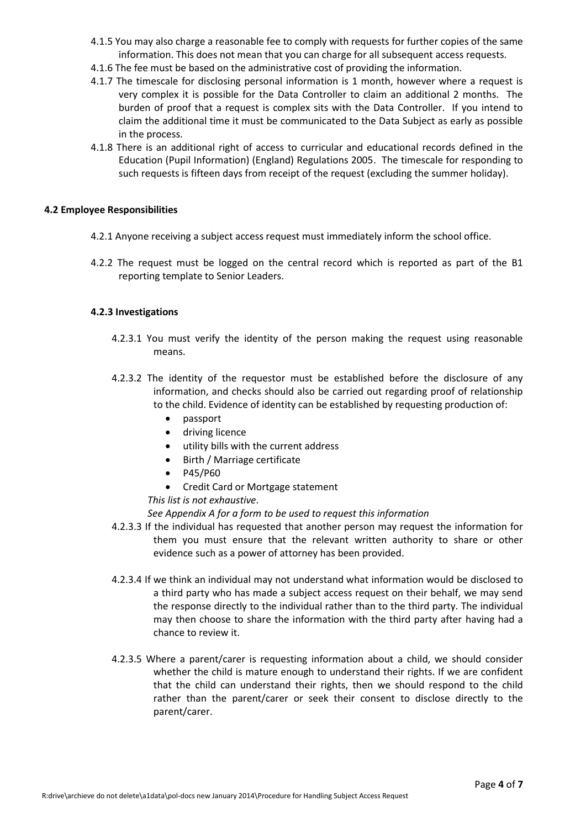- 4.1.5 You may also charge a reasonable fee to comply with requests for further copies of the same information. This does not mean that you can charge for all subsequent access requests.
- 4.1.6 The fee must be based on the administrative cost of providing the information.
- 4.1.7 The timescale for disclosing personal information is 1 month, however where a request is very complex it is possible for the Data Controller to claim an additional 2 months. The burden of proof that a request is complex sits with the Data Controller. If you intend to claim the additional time it must be communicated to the Data Subject as early as possible in the process.
- 4.1.8 There is an additional right of access to curricular and educational records defined in the [Education \(Pupil Information\) \(England\) Regulations 2005.](http://www.legislation.gov.uk/uksi/2005/1437/pdfs/uksi_20051437_en.pdf) The timescale for responding to such requests is fifteen days from receipt of the request (excluding the summer holiday).

#### <span id="page-3-0"></span>**4.2 Employee Responsibilities**

- 4.2.1 Anyone receiving a subject access request must immediately inform the school office.
- 4.2.2 The request must be logged on the central record which is reported as part of the B1 reporting template to Senior Leaders.

#### <span id="page-3-1"></span>**4.2.3 Investigations**

- 4.2.3.1 You must verify the identity of the person making the request using reasonable means.
- 4.2.3.2 The identity of the requestor must be established before the disclosure of any information, and checks should also be carried out regarding proof of relationship to the child. Evidence of identity can be established by requesting production of:
	- passport
	- **•** driving licence
	- utility bills with the current address
	- Birth / Marriage certificate
	- $\bullet$  P45/P60
	- Credit Card or Mortgage statement

*This list is not exhaustive*.

*See Appendix A for a form to be used to request this information*

- 4.2.3.3 If the individual has requested that another person may request the information for them you must ensure that the relevant written authority to share or other evidence such as a power of attorney has been provided.
- 4.2.3.4 If we think an individual may not understand what information would be disclosed to a third party who has made a subject access request on their behalf, we may send the response directly to the individual rather than to the third party. The individual may then choose to share the information with the third party after having had a chance to review it.
- 4.2.3.5 Where a parent/carer is requesting information about a child, we should consider whether the child is mature enough to understand their rights. If we are confident that the child can understand their rights, then we should respond to the child rather than the parent/carer or seek their consent to disclose directly to the parent/carer.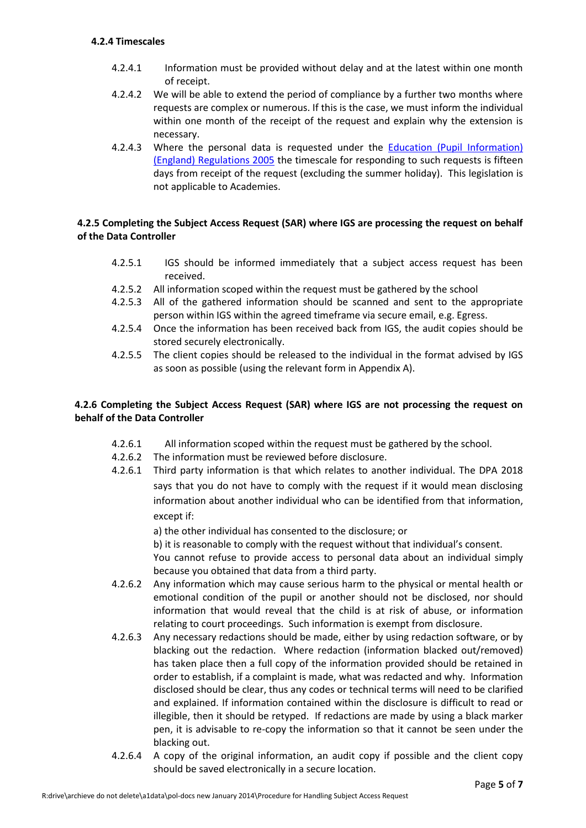#### <span id="page-4-0"></span>**4.2.4 Timescales**

- 4.2.4.1 Information must be provided without delay and at the latest within one month of receipt.
- 4.2.4.2 We will be able to extend the period of compliance by a further two months where requests are complex or numerous. If this is the case, we must inform the individual within one month of the receipt of the request and explain why the extension is necessary.
- 4.2.4.3 Where the personal data is requested under the [Education \(Pupil Information\)](http://www.legislation.gov.uk/uksi/2005/1437/pdfs/uksi_20051437_en.pdf)  [\(England\) Regulations 2005](http://www.legislation.gov.uk/uksi/2005/1437/pdfs/uksi_20051437_en.pdf) the timescale for responding to such requests is fifteen days from receipt of the request (excluding the summer holiday). This legislation is not applicable to Academies.

## <span id="page-4-1"></span>**4.2.5 Completing the Subject Access Request (SAR) where IGS are processing the request on behalf of the Data Controller**

- 4.2.5.1 IGS should be informed immediately that a subject access request has been received.
- 4.2.5.2 All information scoped within the request must be gathered by the school
- 4.2.5.3 All of the gathered information should be scanned and sent to the appropriate person within IGS within the agreed timeframe via secure email, e.g. Egress.
- 4.2.5.4 Once the information has been received back from IGS, the audit copies should be stored securely electronically.
- 4.2.5.5 The client copies should be released to the individual in the format advised by IGS as soon as possible (using the relevant form in Appendix A).

# <span id="page-4-2"></span>**4.2.6 Completing the Subject Access Request (SAR) where IGS are not processing the request on behalf of the Data Controller**

- 4.2.6.1 All information scoped within the request must be gathered by the school.
- 4.2.6.2 The information must be reviewed before disclosure.
- 4.2.6.1 Third party information is that which relates to another individual. The DPA 2018 says that you do not have to comply with the request if it would mean disclosing information about another individual who can be identified from that information, except if:

a) the other individual has consented to the disclosure; or

b) it is reasonable to comply with the request without that individual's consent.

You cannot refuse to provide access to personal data about an individual simply because you obtained that data from a third party.

- 4.2.6.2 Any information which may cause serious harm to the physical or mental health or emotional condition of the pupil or another should not be disclosed, nor should information that would reveal that the child is at risk of abuse, or information relating to court proceedings. Such information is exempt from disclosure.
- 4.2.6.3 Any necessary redactions should be made, either by using redaction software, or by blacking out the redaction. Where redaction (information blacked out/removed) has taken place then a full copy of the information provided should be retained in order to establish, if a complaint is made, what was redacted and why. Information disclosed should be clear, thus any codes or technical terms will need to be clarified and explained. If information contained within the disclosure is difficult to read or illegible, then it should be retyped. If redactions are made by using a black marker pen, it is advisable to re-copy the information so that it cannot be seen under the blacking out.
- 4.2.6.4 A copy of the original information, an audit copy if possible and the client copy should be saved electronically in a secure location.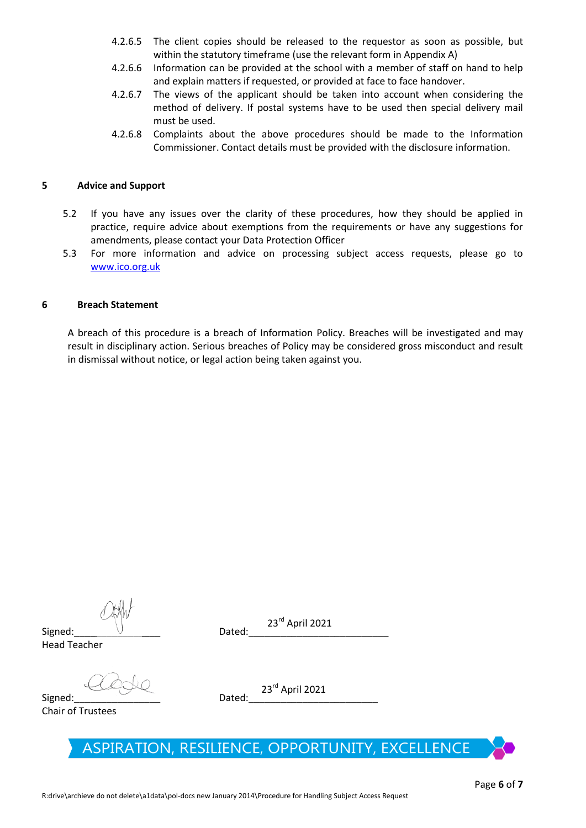- 4.2.6.5 The client copies should be released to the requestor as soon as possible, but within the statutory timeframe (use the relevant form in Appendix A)
- 4.2.6.6 Information can be provided at the school with a member of staff on hand to help and explain matters if requested, or provided at face to face handover.
- 4.2.6.7 The views of the applicant should be taken into account when considering the method of delivery. If postal systems have to be used then special delivery mail must be used.
- 4.2.6.8 Complaints about the above procedures should be made to the Information Commissioner. Contact details must be provided with the disclosure information.

#### <span id="page-5-0"></span>**5 Advice and Support**

- 5.2 If you have any issues over the clarity of these procedures, how they should be applied in practice, require advice about exemptions from the requirements or have any suggestions for amendments, please contact your Data Protection Officer
- 5.3 For more information and advice on processing subject access requests, please go to [www.ico.org.uk](http://www.ico.org.uk/)

#### <span id="page-5-1"></span>**6 Breach Statement**

A breach of this procedure is a breach of Information Policy. Breaches will be investigated and may result in disciplinary action. Serious breaches of Policy may be considered gross misconduct and result in dismissal without notice, or legal action being taken against you.

23 rd April 2021

Signed:\_\_\_\_\_\_\_\_\_\_\_\_\_\_\_\_ Dated:\_\_\_\_\_\_\_\_\_\_\_\_\_\_\_\_\_\_\_\_\_\_\_\_\_\_ Head Teacher

Signed:\_\_\_\_\_\_\_\_\_\_\_\_\_\_\_\_ Dated:\_\_\_\_\_\_\_\_\_\_\_\_\_\_\_\_\_\_\_\_\_\_\_\_

Chair of Trustees

23 rd April 2021

# ASPIRATION, RESILIENCE, OPPORTUNITY, EXCELLENCE